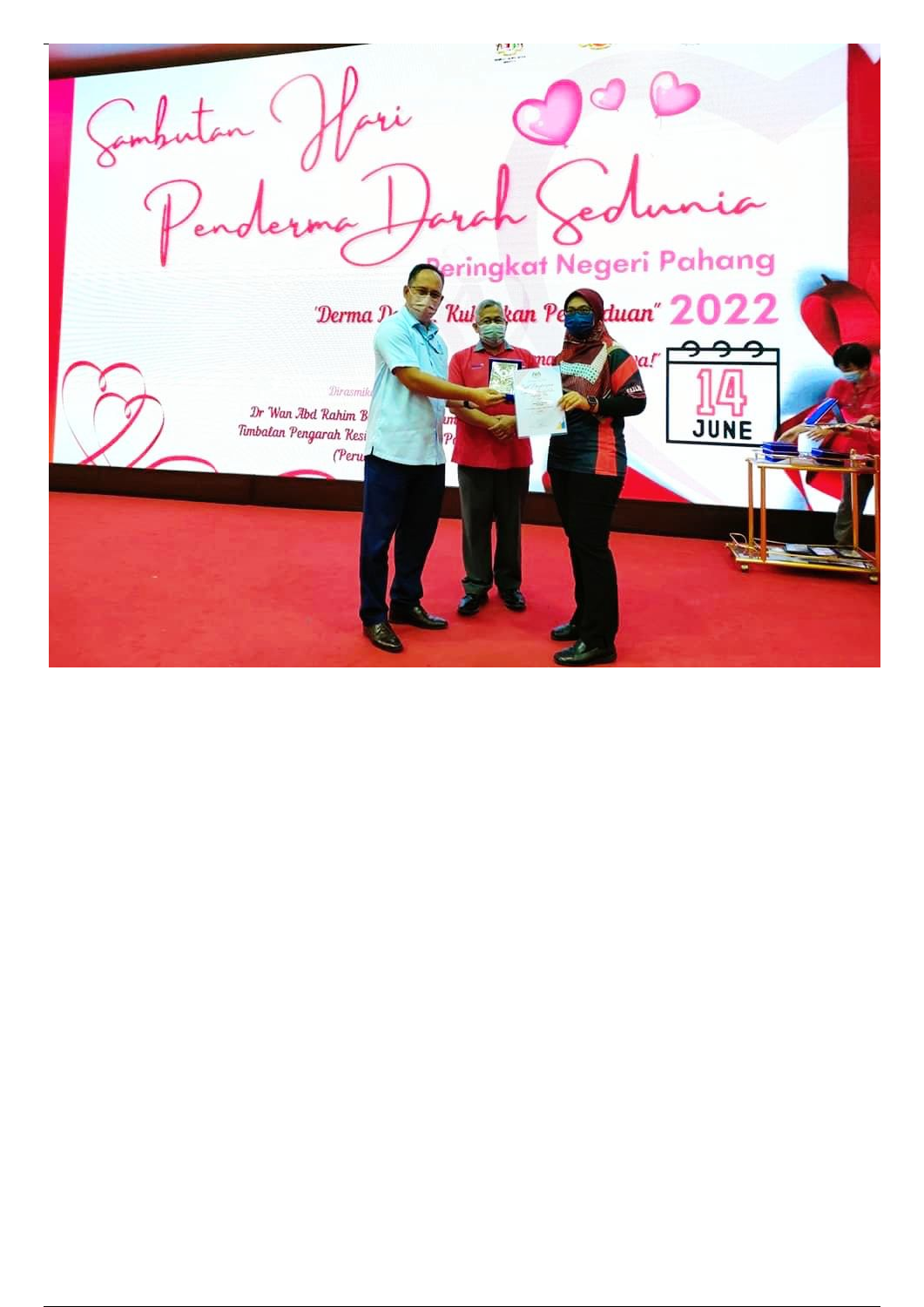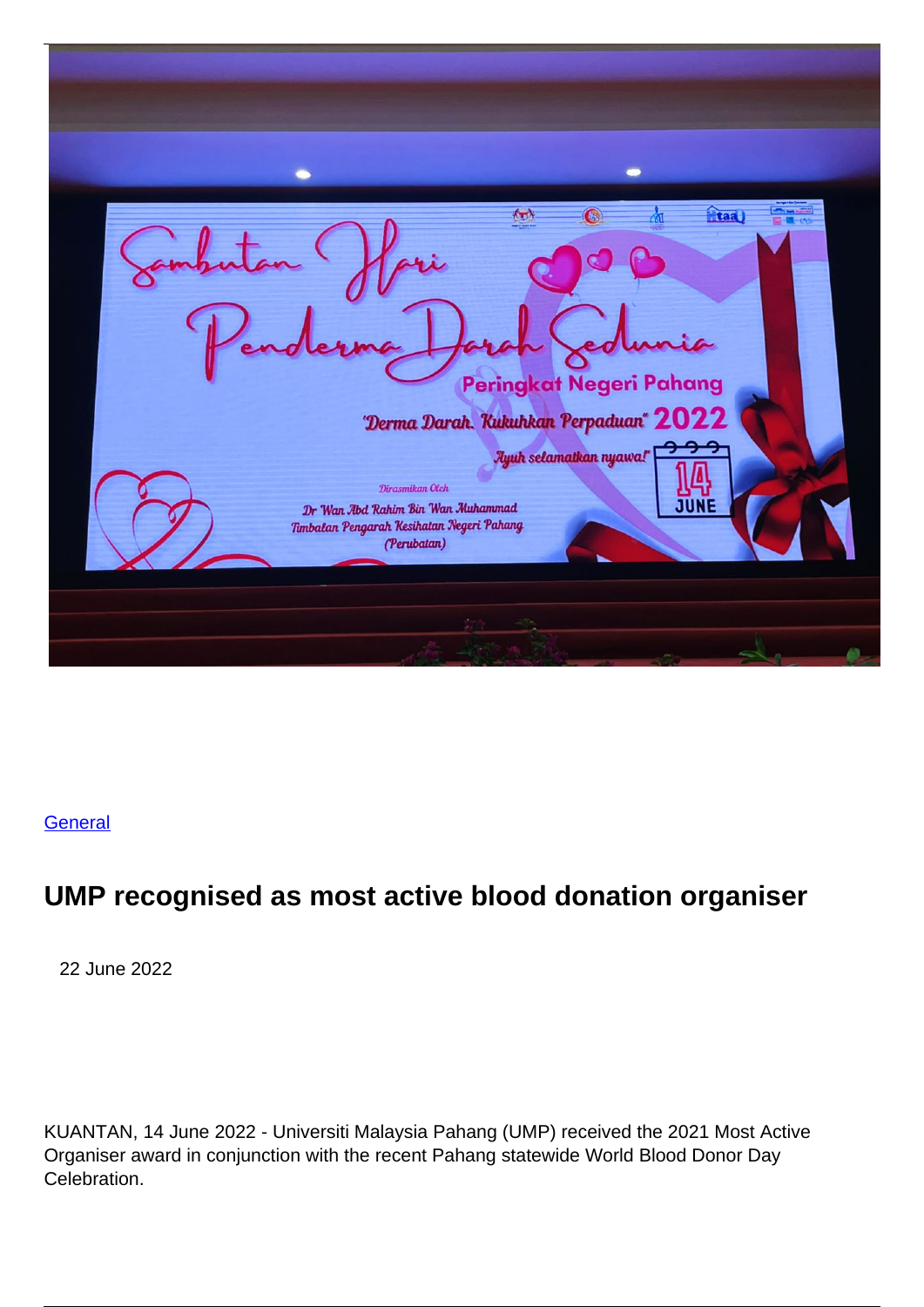

## **[General](/general)**

## **UMP recognised as most active blood donation organiser**

22 June 2022

KUANTAN, 14 June 2022 - Universiti Malaysia Pahang (UMP) received the 2021 Most Active Organiser award in conjunction with the recent Pahang statewide World Blood Donor Day Celebration.